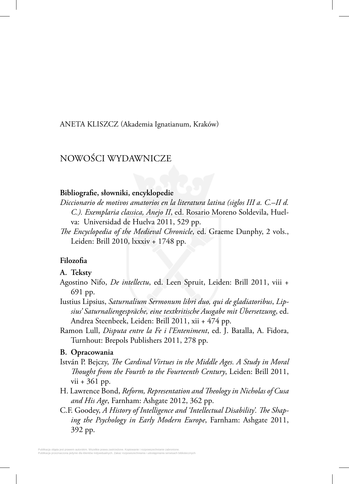### ANETA KLISZCZ (Akademia Ignatianum, Kraków)

# NOWOŚCI WYDAWNICZE

## Bibliografie, słowniki, encyklopedie

*Diccionario de motivos amatorios en la literatura latina (siglos III a. C.–II d. C.). Exemplaria classica, Anejo II*, ed. Rosario Moreno Soldevila, Huelva: Universidad de Huelva 2011, 529 pp.

*The Encyclopedia of the Medieval Chronicle*, ed. Graeme Dunphy, 2 vols., Leiden: Brill 2010, lxxxiv + 1748 pp.

## **Filozofia**

#### **A. Teksty**

- Agostino Nifo, *De intellectu*, ed. Leen Spruit, Leiden: Brill 2011, viii + 691 pp.
- Iustius Lipsius, *Saturnalium Sermonum libri duo, qui de gladiatoribus*, *Lipsius' Saturnaliengespräche, eine textkritische Ausgabe mit Übersetzung*, ed. Andrea Steenbeek, Leiden: Brill 2011, xii + 474 pp.
- Ramon Lull, *Disputa entre la Fe i l'Enteniment*, ed. J. Batalla, A. Fidora, Turnhout: Brepols Publishers 2011, 278 pp.

#### **B. Opracowania**

- István P. Bejczy, *The Cardinal Virtues in the Middle Ages. A Study in Moral Thought from the Fourth to the Fourteenth Century*, Leiden: Brill 2011, vii + 361 pp.
- H. Lawrence Bond, *Reform, Representation and Th eology in Nicholas of Cusa and His Age*, Farnham: Ashgate 2012, 362 pp.
- C.F. Goodey, A History of Intelligence and 'Intellectual Disability'. The Shap*ing the Psychology in Early Modern Europe*, Farnham: Ashgate 2011, 392 pp.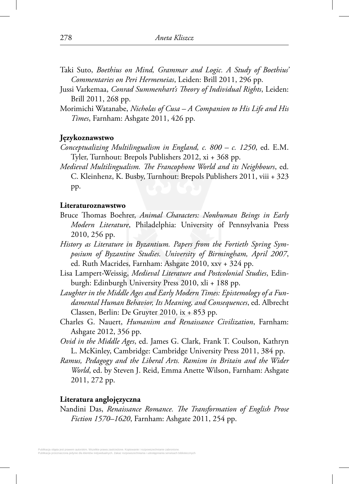- Taki Suto, *Boethius on Mind, Grammar and Logic. A Study of Boethius' Commentaries on Peri Hermeneias*, Leiden: Brill 2011, 296 pp.
- Jussi Varkemaa, *Conrad Summenhart's Theory of Individual Rights*, Leiden: Brill 2011, 268 pp.
- Morimichi Watanabe, *Nicholas of Cusa A Companion to His Life and His Times*, Farnham: Ashgate 2011, 426 pp.

## **Językoznawstwo**

- *Conceptualizing Multilingualism in England, c. 800 c. 1250*, ed. E.M. Tyler, Turnhout: Brepols Publishers 2012, xi + 368 pp.
- *Medieval Multilingualism. The Francophone World and its Neighbours, ed.* C. Kleinhenz, K. Busby, Turnhout: Brepols Publishers 2011, viii + 323 pp.

#### **Literaturoznawstwo**

- Bruce Thomas Boehrer, *Animal Characters: Nonhuman Beings in Early Modern Literature*, Philadelphia: University of Pennsylvania Press 2010, 256 pp.
- *History as Literature in Byzantium. Papers from the Fortieth Spring Symposium of Byzantine Studies. University of Birmingham, April 2007*, ed. Ruth Macrides, Farnham: Ashgate 2010, xxv + 324 pp.
- Lisa Lampert-Weissig, *Medieval Literature and Postcolonial Studies*, Edinburgh: Edinburgh University Press 2010, xli + 188 pp.
- *Laughter in the Middle Ages and Early Modern Times: Epistemology of a Fundamental Human Behavior, Its Meaning, and Consequences*, ed. Albrecht Classen, Berlin: De Gruyter 2010, ix + 853 pp.
- Charles G. Nauert, *Humanism and Renaissance Civilization*, Farnham: Ashgate 2012, 356 pp.
- *Ovid in the Middle Ages*, ed. James G. Clark, Frank T. Coulson, Kathryn L. McKinley, Cambridge: Cambridge University Press 2011, 384 pp.
- *Ramus, Pedagogy and the Liberal Arts. Ramism in Britain and the Wider World*, ed. by Steven J. Reid, Emma Anette Wilson, Farnham: Ashgate 2011, 272 pp.

## **Literatura anglojęzyczna**

Nandini Das, *Renaissance Romance. The Transformation of English Prose Fiction 1570–1620*, Farnham: Ashgate 2011, 254 pp.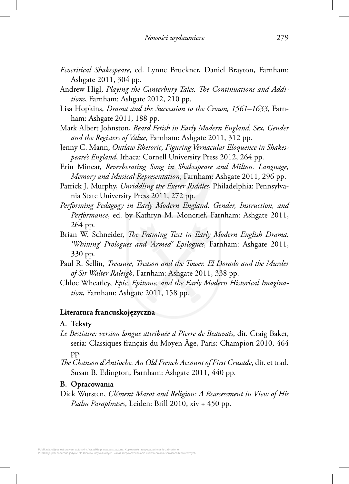- *Ecocritical Shakespeare*, ed. Lynne Bruckner, Daniel Brayton, Farnham: Ashgate 2011, 304 pp.
- Andrew Higl, *Playing the Canterbury Tales. The Continuations and Additions*, Farnham: Ashgate 2012, 210 pp.
- Lisa Hopkins, *Drama and the Succession to the Crown, 1561–1633*, Farnham: Ashgate 2011, 188 pp.
- Mark Albert Johnston, *Beard Fetish in Early Modern England. Sex, Gender and the Registers of Value*, Farnham: Ashgate 2011, 312 pp.
- Jenny C. Mann, *Outlaw Rhetoric, Figuring Vernacular Eloquence in Shakespeare's England*, Ithaca: Cornell University Press 2012, 264 pp.
- Erin Minear, *Reverberating Song in Shakespeare and Milton. Language, Memory and Musical Representation*, Farnham: Ashgate 2011, 296 pp.
- Patrick J. Murphy, *Unriddling the Exeter Riddles*, Philadelphia: Pennsylvania State University Press 2011, 272 pp.
- *Performing Pedagogy in Early Modern England. Gender, Instruction, and Performance*, ed. by Kathryn M. Moncrief, Farnham: Ashgate 2011, 264 pp.
- Brian W. Schneider, *The Framing Text in Early Modern English Drama*. *'Whining' Prologues and 'Armed' Epilogues*, Farnham: Ashgate 2011, 330 pp.
- Paul R. Sellin, *Treasure, Treason and the Tower. El Dorado and the Murder of Sir Walter Raleigh*, Farnham: Ashgate 2011, 338 pp.
- Chloe Wheatley, *Epic, Epitome, and the Early Modern Historical Imagination*, Farnham: Ashgate 2011, 158 pp.

## **Literatura francuskojęzyczna**

## **A. Teksty**

- *Le Bestiaire: version longue attribuée á Pierre de Beauvais*, dir. Craig Baker, seria: Classiques français du Moyen Âge, Paris: Champion 2010, 464 pp.
- The Chanson d'Antioche. An Old French Account of First Crusade, dir. et trad. Susan B. Edington, Farnham: Ashgate 2011, 440 pp.

### **B. Opracowania**

Dick Wursten, *Clément Marot and Religion: A Reassessment in View of His Psalm Paraphrases*, Leiden: Brill 2010, xiv + 450 pp.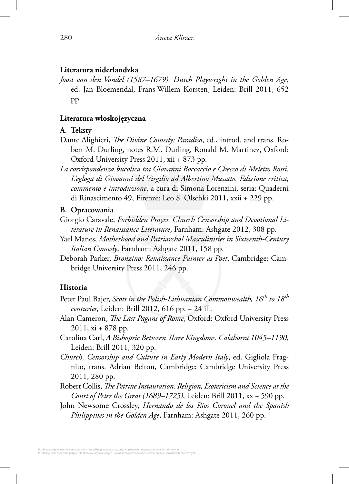## **Literatura niderlandzka**

*Joost van den Vondel (1587–1679). Dutch Playwright in the Golden Age*, ed. Jan Bloemendal, Frans-Willem Korsten, Leiden: Brill 2011, 652 pp.

# **Literatura włoskojęzyczna**

## **A. Teksty**

- Dante Alighieri, *The Divine Comedy: Paradiso*, ed., introd. and trans. Robert M. Durling, notes R.M. Durling, Ronald M. Martinez, Oxford: Oxford University Press 2011, xii + 873 pp.
- *La corrispondenza bucolica tra Giovanni Boccaccio e Checco di Meletto Rossi. L'egloga di Giovanni del Virgilio ad Albertino Mussato. Edizione critica, commento e introduzione*, a cura di Simona Lorenzini, seria: Quaderni di Rinascimento 49, Firenze: Leo S. Olschki 2011, xxii + 229 pp.

# **B. Opracowania**

- Giorgio Caravale, *Forbidden Prayer. Church Censorship and Devotional Literature in Renaissance Literature*, Farnham: Ashgate 2012, 308 pp.
- Yael Manes, *Motherhood and Patriarchal Masculinities in Sixteenth-Century Italian Comedy*, Farnham: Ashgate 2011, 158 pp.
- Deborah Parker, *Bronzino: Renaissance Painter as Poet*, Cambridge: Cambridge University Press 2011, 246 pp.

# **Historia**

- Peter Paul Bajer, *Scots in the Polish-Lithuanian Commonwealth, 16th to 18th centuries*, Leiden: Brill 2012, 616 pp. + 24 ill.
- Alan Cameron, *The Last Pagans of Rome*, Oxford: Oxford University Press 2011, xi + 878 pp.
- Carolina Carl, *A Bishopric Between Three Kingdoms. Calahorra 1045–1190*, Leiden: Brill 2011, 320 pp.
- *Church, Censorship and Culture in Early Modern Italy*, ed. Gigliola Fragnito, trans. Adrian Belton, Cambridge; Cambridge University Press 2011, 280 pp.
- Robert Collis, *The Petrine Instauration. Religion, Esotericism and Science at the Court of Peter the Great (1689–1725)*, Leiden: Brill 2011, xx + 590 pp.
- John Newsome Crossley, *Hernando de los Ríos Coronel and the Spanish Philippines in the Golden Age*, Farnham: Ashgate 2011, 260 pp.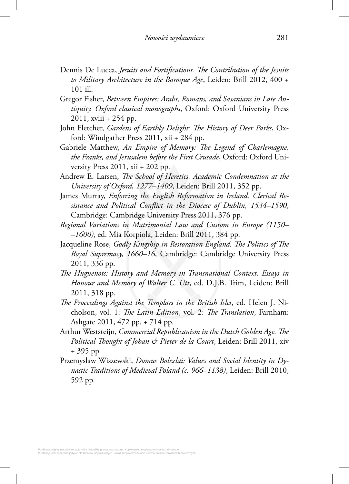- Dennis De Lucca, *Jesuits and Fortifications. The Contribution of the Jesuits to Military Architecture in the Baroque Age*, Leiden: Brill 2012, 400 + 101 ill.
- Gregor Fisher, *Between Empires: Arabs, Romans, and Sasanians in Late Antiquity. Oxford classical monographs*, Oxford: Oxford University Press 2011, xviii + 254 pp.
- John Fletcher, *Gardens of Earthly Delight: The History of Deer Parks*, Oxford: Windgather Press 2011, xii + 284 pp.
- Gabriele Matthew, *An Empire of Memory: The Legend of Charlemagne*, *the Franks, and Jerusalem before the First Crusade*, Oxford: Oxford University Press 2011, xii + 202 pp.
- Andrew E. Larsen, *The School of Heretics. Academic Condemnation at the University of Oxford, 1277–1409*, Leiden: Brill 2011, 352 pp.
- James Murray, *Enforcing the English Reformation in Ireland. Clerical Resistance and Political Confl ict in the Diocese of Dublin, 1534–1590*, Cambridge: Cambridge University Press 2011, 376 pp.
- *Regional Variations in Matrimonial Law and Custom in Europe (1150– –1600)*, ed. Mia Korpiola, Leiden: Brill 2011, 384 pp.
- Jacqueline Rose, *Godly Kingship in Restoration England. The Politics of The Royal Supremacy, 1660–16*, Cambridge: Cambridge University Press 2011, 336 pp.
- *The Huguenots: History and Memory in Transnational Context. Essays in Honour and Memory of Walter C. Utt*, ed. D.J.B. Trim, Leiden: Brill 2011, 318 pp.
- *The Proceedings Against the Templars in the British Isles*, ed. Helen J. Nicholson, vol. 1: *The Latin Edition*, vol. 2: *The Translation*, Farnham: Ashgate 2011, 472 pp. + 714 pp.
- Arthur Weststeijn, *Commercial Republicanism in the Dutch Golden Age. The Political Thought of Johan & Pieter de la Court*, Leiden: Brill 2011, xiv + 395 pp.
- Przemyslaw Wiszewski, *Domus Bolezlai: Values and Social Identity in Dynastic Traditions of Medieval Poland (c. 966–1138)*, Leiden: Brill 2010, 592 pp.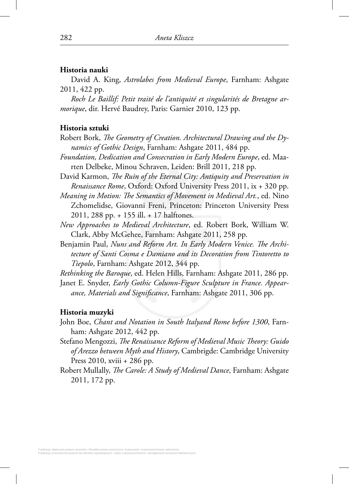## **Historia nauki**

David A. King, *Astrolabes from Medieval Europe*, Farnham: Ashgate 2011, 422 pp.

*Roch Le Baillif: Petit traité de l'antiquité et singularités de Bretagne armorique*, dir. Hervé Baudrey, Paris: Garnier 2010, 123 pp.

### **Historia sztuki**

- Robert Bork, *The Geometry of Creation. Architectural Drawing and the Dynamics of Gothic Design*, Farnham: Ashgate 2011, 484 pp.
- *Foundation, Dedication and Consecration in Early Modern Europe*, ed. Maarten Delbeke, Minou Schraven, Leiden: Brill 2011, 218 pp.
- David Karmon, *The Ruin of the Eternal City: Antiquity and Preservation in Renaissance Rome*, Oxford: Oxford University Press 2011, ix + 320 pp.
- *Meaning in Motion: The Semantics of Movement in Medieval Art.*, ed. Nino Zchomelidse, Giovanni Freni, Princeton: Princeton University Press 2011, 288 pp. + 155 ill. + 17 halftones.
- *New Approaches to Medieval Architecture*, ed. Robert Bork, William W. Clark, Abby McGehee, Farnham: Ashgate 2011, 258 pp.
- Benjamin Paul, Nuns and Reform Art. In Early Modern Venice. The Archi*tecture of Santi Cosma e Damiano and its Decoration from Tintoretto to Tiepolo*, Farnham: Ashgate 2012, 344 pp.
- *Rethinking the Baroque*, ed. Helen Hills, Farnham: Ashgate 2011, 286 pp.
- Janet E. Snyder, *Early Gothic Column-Figure Sculpture in France. Appear*ance, Materials and Significance, Farnham: Ashgate 2011, 306 pp.

### **Historia muzyki**

- John Boe, *Chant and Notation in South Italyand Rome before 1300*, Farnham: Ashgate 2012, 442 pp.
- Stefano Mengozzi, *The Renaissance Reform of Medieval Music Theory: Guido of Arezzo between Myth and History*, Cambrigde: Cambridge University Press 2010, xviii + 286 pp.
- Robert Mullally, *The Carole: A Study of Medieval Dance*, Farnham: Ashgate 2011, 172 pp.